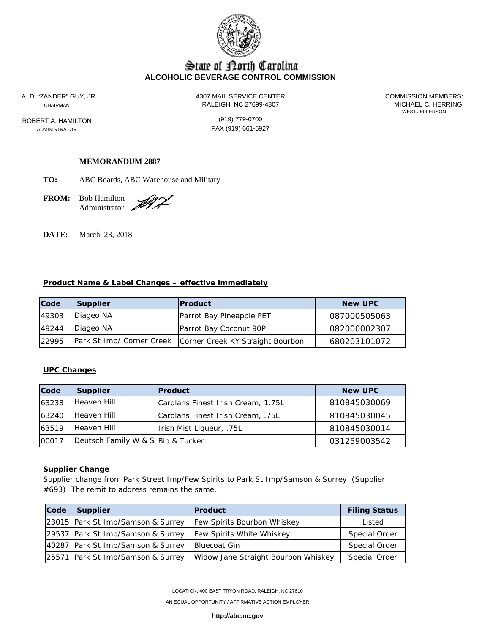

# State of Borth Carolina **ALCOHOLIC BEVERAGE CONTROL COMMISSION**

ROBERT A. HAMILTON (919) 779-0700

A. D. "ZANDER" GUY, JR. 4307 MAIL SERVICE CENTER COMMISSION MEMBERS: CHAIRMAN RALEIGH, NC 27699-4307

WEST JEFFERSON

ADMINISTRATOR **FAX** (919) 661-5927

### **MEMORANDUM 2887**

**TO:** ABC Boards, ABC Warehouse and Military

**FROM:** Bob Hamilton Administrator .

DI L

**DATE:** March 23, 2018

#### **Product Name & Label Changes – effective immediately**

| Code  | Supplier                  | <b>Product</b>                   | <b>New UPC</b> |
|-------|---------------------------|----------------------------------|----------------|
| 49303 | Diageo NA                 | Parrot Bay Pineapple PET         | 087000505063   |
| 49244 | Diageo NA                 | Parrot Bay Coconut 90P           | 082000002307   |
| 22995 | Park St Imp/ Corner Creek | Corner Creek KY Straight Bourbon | 680203101072   |

# **UPC Changes**

| Code  | <b>Supplier</b>                   | <b>Product</b>                     | <b>New UPC</b> |
|-------|-----------------------------------|------------------------------------|----------------|
| 63238 | Heaven Hill                       | Carolans Finest Irish Cream, 1.75L | 810845030069   |
| 63240 | Heaven Hill                       | Carolans Finest Irish Cream, .75L  | 810845030045   |
| 63519 | Heaven Hill                       | Irish Mist Liqueur, .75L           | 810845030014   |
| 00017 | Deutsch Family W & S Bib & Tucker |                                    | 031259003542   |

### **Supplier Change**

Supplier change from Park Street Imp/Few Spirits to Park St Imp/Samson & Surrey (Supplier #693) The remit to address remains the same.

| Code | <b>Supplier</b>                   | <b>Product</b>                      | <b>Filing Status</b> |
|------|-----------------------------------|-------------------------------------|----------------------|
|      | 23015 Park St Imp/Samson & Surrey | <b>Few Spirits Bourbon Whiskey</b>  | Listed               |
|      | 29537 Park St Imp/Samson & Surrey | <b>Few Spirits White Whiskey</b>    | Special Order        |
|      | 40287 Park St Imp/Samson & Surrey | Bluecoat Gin                        | Special Order        |
|      | 25571 Park St Imp/Samson & Surrey | Widow Jane Straight Bourbon Whiskey | Special Order        |

LOCATION: 400 EAST TRYON ROAD, RALEIGH, NC 27610

AN EQUAL OPPORTUNITY / AFFIRMATIVE ACTION EMPLOYER

**http://abc.nc.gov**